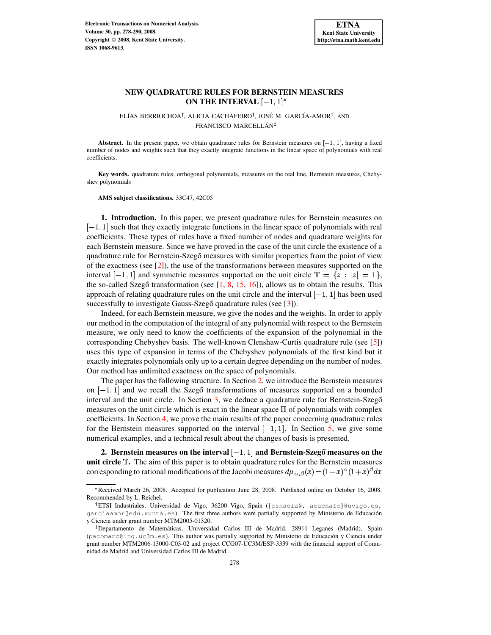# **NEW QUADRATURE RULES FOR BERNSTEIN MEASURES** ON THE INTERVAL  $[-1,1]^*$

ELÍAS BERRIOCHOA<sup>†</sup>, ALICIA CACHAFEIRO<sup>†</sup>, JOSÉ M. GARCÍA-AMOR<sup>†</sup>, AND FRANCISCO MARCELLÁN<sup>‡</sup>

Abstract. In the present paper, we obtain quadrature rules for Bernstein measures on  $[-1, 1]$ , having a fixed number of nodes and weights such that they exactly integrate functions in the linear space of polynomials with real coefficients.

**Key words.** quadrature rules, orthogonal polynomials, measures on the real line, Bernstein measures, Chebyshev polynomials

**AMS subject classifications.** 33C47, 42C05

**1. Introduction.** In this paper, we present quadrature rules for Bernstein measures on  $[-1, 1]$  such that they exactly integrate functions in the linear space of polynomials with real coefficients. These types of rules have a fixed number of nodes and quadrature weights for each Bernstein measure. Since we have proved in the case of the unit circle the existence of a quadrature rule for Bernstein-Szegő measures with similar properties from the point of view of the exactness (see [\[2\]](#page-11-0)), the use of the transformations between measures supported on the interval  $[-1, 1]$  and symmetric measures supported on the unit circle  $\mathbb{T} = \{z : |z| = 1\},\$ the so-called Szegő transformation (see  $[1, 8, 15, 16]$  $[1, 8, 15, 16]$  $[1, 8, 15, 16]$  $[1, 8, 15, 16]$  $[1, 8, 15, 16]$  $[1, 8, 15, 16]$  $[1, 8, 15, 16]$ ), allows us to obtain the results. This approach of relating quadrature rules on the unit circle and the interval  $[-1, 1]$  has been used successfully to investigate Gauss-Szegő quadrature rules (see  $[3]$ ).

Indeed, for each Bernstein measure, we give the nodes and the weights. In order to apply our method in the computation of the integral of any polynomial with respect to the Bernstein measure, we only need to know the coefficients of the expansion of the polynomial in the corresponding Chebyshev basis. The well-known Clenshaw-Curtis quadrature rule (see [\[5\]](#page-11-3)) uses this type of expansion in terms of the Chebyshev polynomials of the first kind but it exactly integrates polynomials only up to a certain degree depending on the number of nodes. Our method has unlimited exactness on the space of polynomials.

The paper has the following structure. In Section [2,](#page-0-0) we introduce the Bernstein measures on  $[-1, 1]$  and we recall the Szegő transformations of measures supported on a bounded interval and the unit circle. In Section  $3$ , we deduce a quadrature rule for Bernstein-Szeg $\delta$ measures on the unit circle which is exact in the linear space  $\Pi$  of polynomials with complex coefficients. In Section [4,](#page-4-0) we prove the main results of the paper concerning quadrature rules for the Bernstein measures supported on the interval  $[-1, 1]$ . In Section [5,](#page-8-0) we give some numerical examples, and a technical result about the changes of basis is presented.

<span id="page-0-0"></span> $\bf 2.$  <code>Bernstein</code> measures on the interval  $[-1,1]$  and <code>Bernstein-Szegő</code> measures on the **unit circle .** The aim of this paper is to obtain quadrature rules for the Bernstein measures corresponding to rational modifications of the Jacobi measures  $d\mu_{\alpha,\beta}(x)\!=\!(1\!-\!x)^\alpha(1\!+\!x)^\beta dx$ 

<sup>9</sup> Received March 26, 2008. Accepted for publication June 28, 2008. Published online on October 16, 2008. Recommended by L. Reichel.

<sup>&</sup>lt;sup>†</sup>ETSI Industriales, Universidad de Vigo, 36200 Vigo, Spain ({esnaola@, acachafe}@uvigo.es, garciaamor@edu.xunta.es). The first three authors were partially supported by Ministerio de Educacion´ y Ciencia under grant number MTM2005-01320.

<sup>&</sup>lt;sup>‡</sup> Departamento de Matemáticas, Universidad Carlos III de Madrid, 28911 Leganes (Madrid), Spain (pacomarc@ing.uc3m.es). This author was partially supported by Ministerio de Educación y Ciencia under grant number MTM2006-13000-C03-02 and project CCG07-UC3M/ESP-3339 with the financial support of Comunidad de Madrid and Universidad Carlos III de Madrid.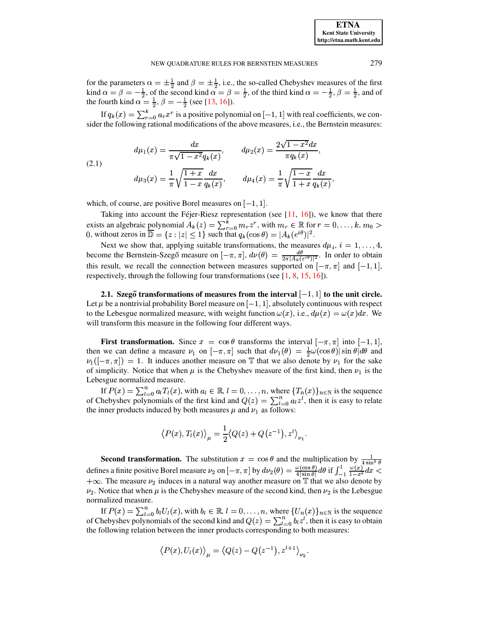for the parameters  $\alpha = \pm \frac{1}{2}$  and  $\beta = \pm \frac{1}{2}$ , i.e., the so-called Chebyshev measures of the first kind  $\alpha = \beta = -\frac{1}{2}$ , of the second kind  $\alpha = \beta = \frac{1}{2}$ , of the third kind  $\alpha = -\frac{1}{2}$ ,  $\beta = \frac{1}{2}$ , and of the fourth kind  $\alpha = \frac{1}{2}$ ,  $\beta = -\frac{1}{2}$  (see [\[13,](#page-12-3) [16\]](#page-12-2)).

If  $q_k(x) = \sum_{n=0}^{\infty} a_n x^r$  is a positive polynomial on  $[-1, 1]$  with real coefficients, we consider the following rational modifications of the above measures, i.e., the Bernstein measures:

<span id="page-1-0"></span>(2.1) 
$$
d\mu_1(x) = \frac{dx}{\pi\sqrt{1-x^2}q_k(x)}, \qquad d\mu_2(x) = \frac{2\sqrt{1-x^2}dx}{\pi q_k(x)},
$$

$$
d\mu_3(x) = \frac{1}{\pi}\sqrt{\frac{1+x}{1-x}}\frac{dx}{q_k(x)}, \qquad d\mu_4(x) = \frac{1}{\pi}\sqrt{\frac{1-x}{1+x}}\frac{dx}{q_k(x)},
$$

which, of course, are positive Borel measures on  $[-1, 1]$ .

Taking into account the Féjer-Riesz representation (see  $[11, 16]$  $[11, 16]$  $[11, 16]$ ), we know that there exists an algebraic polynomial  $A_k(z) = \sum_{r=0}^{k} m_r z^r$ , with  $m_r \in \mathbb{R}$  for  $r = 0, \ldots, k, m_0 > 0$ 0, without zeros in  $\overline{\mathbb{D}} = \{z : |z| \leq 1\}$  such that  $q_k(\cos \theta) = |A_k(e^{i\theta})|^2$ .

Next we show that, applying suitable transformations, the measures  $d\mu_i$ ,  $i = 1, \ldots, 4$ , become the Bernstein-Szegő measure on  $[-\pi, \pi]$ ,  $d\nu(\theta) = \frac{d\theta}{2\pi |A \cup \{d\}}$ . In order to obtain this result, we recall the connection between measures supported on  $[-\pi, \pi]$  and  $[-1, 1]$ , respectively, through the following four transformations (see [\[1,](#page-11-1) [8,](#page-12-0) [15,](#page-12-1) [16\]](#page-12-2)).

**2.1. Szegő transformations** of measures from the interval  $[-1, 1]$  to the unit circle. Let  $\mu$  be a nontrivial probability Borel measure on  $[-1, 1]$ , absolutely continuous with respect to the Lebesgue normalized measure, with weight function  $\omega(x)$ , i.e.,  $d\mu(x) = \omega(x)dx$ . We will transform this measure in the following four different ways.

**First transformation.** Since  $x = \cos \theta$  transforms the interval  $[-\pi, \pi]$  into  $[-1, 1]$ , then we can define a measure  $\nu_1$  on  $[-\pi, \pi]$  such that  $d\nu_1(\theta) = \frac{1}{2}\omega(\cos \theta)|\sin \theta| d\theta$  and  $\nu_1([-\pi,\pi]) = 1$ . It induces another measure on T that we also denote by  $\nu_1$  for the sake of simplicity. Notice that when  $\mu$  is the Chebyshev measure of the first kind, then  $\nu_1$  is the Lebesgue normalized measure.

If  $P(x) = \sum_{l=0}^{n} a_l T_l(x)$ , with  $a_l \in \mathbb{R}$ ,  $l = 0, \ldots, n$ , where  $\{T_n(x)\}_{n \in \mathbb{N}}$  is the sequence of Chebyshev polynomials of the first kind and  $Q(z) = \sum_{l=0}^{n} a_l z^l$ , then it is easy to relate the inner products induced by both measures  $\mu$  and  $\nu_1$  as follows:

$$
\left\langle P(x),T_l(x)\right\rangle_{\mu}=\frac{1}{2}\big\langle Q(z)+Q\big(z^{-1}\big),z^l\big\rangle_{\nu_1}.
$$

**Second transformation.** The substitution  $x = \cos \theta$  and the multiplication by  $\frac{1}{4 \sin^2 \theta}$ defines a finite positive Borel measure  $\nu_2$  on  $[-\pi, \pi]$  by  $d\nu_2(\theta) = \frac{\omega(\cos \theta)}{4|\sin \theta|} d\theta$  if  $\int_{-1}^{1} \frac{\omega(\theta)}{1-x^2} dx$  $\frac{(\cos \theta)}{\cos \theta} d\theta$  if  $\mathcal{L}$  and the state of the state  $\mathcal{L}$  $\frac{\omega(\cos\theta)}{4|\sin\theta|}d\theta \text{ if } \int_{-1}^{1} \frac{\omega(x)}{1-x^2}dx <$  $+\infty$ . The measure  $\nu_2$  induces in a natural way another measure on T that we also denote by -¼  $\sim$  2F  $\sim$  2F  $\sim$  2F  $\sim$  2F  $\sim$  2F  $\sim$  2F  $\sim$  2F  $\sim$  2F  $\sim$  2F  $\sim$  2F  $\sim$  2F  $\sim$  2F  $\sim$  2F  $\sim$  2F  $\sim$  2F  $\sim$  2F  $\sim$  2F  $\sim$  2F  $\sim$  2F  $\sim$  2F  $\sim$  2F  $\sim$  2F  $\sim$  2F  $\sim$  2F  $\sim$  2F  $\sim$  2F  $\sim$  2F  $\sim$   $\nu_2$ . Notice that when  $\mu$  is the Chebyshev measure of the second kind, then  $\nu_2$  is the Lebesgue normalized measure.

If  $P(x) = \sum_{l=0}^{n} b_l U_l(x)$ , with  $b_l \in \mathbb{R}$ ,  $l = 0, \ldots, n$ , where  $\{U_n(x)\}_{n \in \mathbb{N}}$  is the sequence of Chebyshev polynomials of the second kind and  $Q(z) = \sum_{l=0}^{n} b_l z^l$ , then it is easy to obtain the following relation between the inner products corresponding to both measures:

$$
\big\langle P(x), U_l(x)\big\rangle_\mu = \big\langle Q(z)-Q\big(z^{-1}\big),z^{l+1}\big\rangle_{\nu_2}.
$$

**ETNA Kent State University http://etna.math.kent.edu**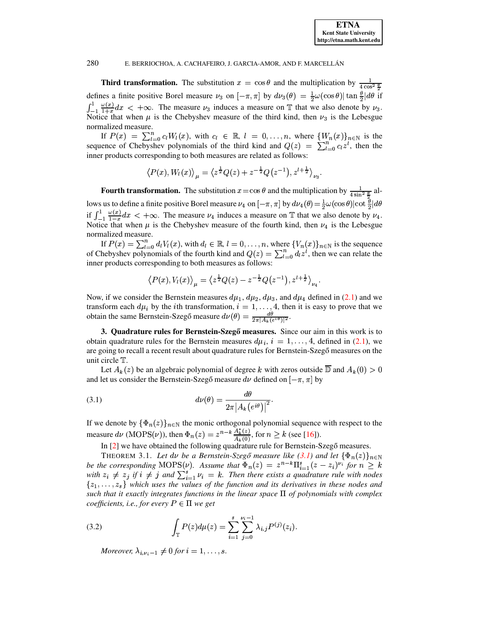**Third transformation.** The substitution  $x = \cos \theta$  and the multiplication by  $\frac{1}{4 \cos^2 \frac{\theta}{2}}$ defines a finite positive Borel measure  $\nu_3$  on  $[-\pi, \pi]$  by  $d\nu_3(\theta) = \frac{1}{2}\omega(\cos\theta)|\tan\frac{\theta}{2}|d\theta$  if  $\int_{-1}^{1} \frac{\omega(x)}{1+x} dx < +\infty$ . The measure  $\nu_3$  induces a measure on T that we also denote by  $\nu_3$ . Notice that when  $\mu$  is the Chebyshev measure of the third kind, then  $\nu_3$  is the Lebesgue normalized measure.

If  $P(x) = \sum_{l=0}^{n} c_l W_l(x)$ , with  $c_l \in \mathbb{R}$ ,  $l = 0, \ldots, n$ , where  $\{W_n(x)\}_{n \in \mathbb{N}}$  is the sequence of Chebyshev polynomials of the third kind and  $Q(z) = \sum_{l=0}^{n} c_l z^l$ , then the inner products corresponding to both measures are related as follows:

$$
\langle P(x), W_l(x) \rangle_{\mu} = \langle z^{\frac{1}{2}} Q(z) + z^{-\frac{1}{2}} Q(z^{-1}), z^{l + \frac{1}{2}} \rangle_{\nu_3}.
$$

**Fourth transformation.** The substitution  $x = \cos \theta$  and the multiplication by  $\frac{1}{4 \sin^2 \frac{\theta}{n}}$  allows us to define a finite positive Borel measure  $\nu_4$  on  $[-\pi,\pi]$  by  $d\nu_4(\theta) = \frac{1}{2}\omega(\cos\theta)|\cot\frac{\theta}{2}|d\theta$ if  $\int_{-1}^{1} \frac{\omega(x)}{1-x} dx < +\infty$ . The measure  $\nu_4$  induces a measure on T that we also denote by  $\nu_4$ . Notice that when  $\mu$  is the Chebyshev measure of the fourth kind, then  $\nu_4$  is the Lebesgue normalized measure.

If  $P(x) = \sum_{l=0}^{n} d_l V_l(x)$ , with  $d_l \in \mathbb{R}$ ,  $l = 0, \ldots, n$ , where  $\{V_n(x)\}_{n \in \mathbb{N}}$  is the sequence of Chebyshev polynomials of the fourth kind and  $Q(z) = \sum_{l=0}^{n} d_l z^l$ , then we can relate the inner products corresponding to both measures as follows:

$$
\langle P(x), V_l(x) \rangle_{\mu} = \langle z^{\frac{1}{2}} Q(z) - z^{-\frac{1}{2}} Q(z^{-1}), z^{l + \frac{1}{2}} \rangle_{\nu_4}.
$$

Now, if we consider the Bernstein measures  $d\mu_1$ ,  $d\mu_2$ ,  $d\mu_3$ , and  $d\mu_4$  defined in (2.1) and we transform each  $d\mu_i$  by the *i*th transformation,  $i = 1, ..., 4$ , then it is easy to prove that we obtain the same Bernstein-Szegő measure  $d\nu(\theta) = \frac{d\theta}{2\pi |A_k(e^{i\theta})|^2}$ .

<span id="page-2-0"></span>3. Quadrature rules for Bernstein-Szegő measures. Since our aim in this work is to obtain quadrature rules for the Bernstein measures  $d\mu_i$ ,  $i = 1, ..., 4$ , defined in (2.1), we are going to recall a recent result about quadrature rules for Bernstein-Szegő measures on the unit circle T.

Let  $A_k(z)$  be an algebraic polynomial of degree k with zeros outside  $\overline{D}$  and  $A_k(0) > 0$ and let us consider the Bernstein-Szegő measure  $d\nu$  defined on  $[-\pi, \pi]$  by

<span id="page-2-1"></span>(3.1) 
$$
d\nu(\theta) = \frac{d\theta}{2\pi |A_k(e^{i\theta})|^2}
$$

If we denote by  $\{\Phi_n(z)\}_{n\in\mathbb{N}}$  the monic orthogonal polynomial sequence with respect to the measure  $d\nu$  (MOPS( $\nu$ )), then  $\Phi_n(z) = z^{n-k} \frac{A_k^*(z)}{A_k(0)}$ , for  $n \ge k$  (see [16]).

In [2] we have obtained the following quadrature rule for Bernstein-Szegő measures.

THEOREM 3.1. Let dv be a Bernstein-Szegő measure like (3.1) and let  $\{\Phi_n(z)\}_{n\in\mathbb{N}}$ be the corresponding MOPS( $\nu$ ). Assume that  $\overline{\Phi}_n(z) = z^{n-k} \overline{\Pi}_{i=1}^s (z - z_i)^{\nu_i}$  for  $n \geq k$ <br>with  $z_i \neq z_j$  if  $i \neq j$  and  $\sum_{i=1}^s \nu_i = k$ . Then there exists a quadrature rule with nodes  $\{z_1, \ldots, z_s\}$  which uses the values of the function and its derivatives in these nodes and such that it exactly integrates functions in the linear space  $\Pi$  of polynomials with complex coefficients, i.e., for every  $P \in \Pi$  we get

<span id="page-2-2"></span>(3.2) 
$$
\int_{\mathbb{T}} P(z) d\mu(z) = \sum_{i=1}^{s} \sum_{j=0}^{\nu_i - 1} \lambda_{i,j} P^{(j)}(z_i).
$$

Moreover,  $\lambda_{i,\nu_i-1} \neq 0$  for  $i = 1, \ldots, s$ .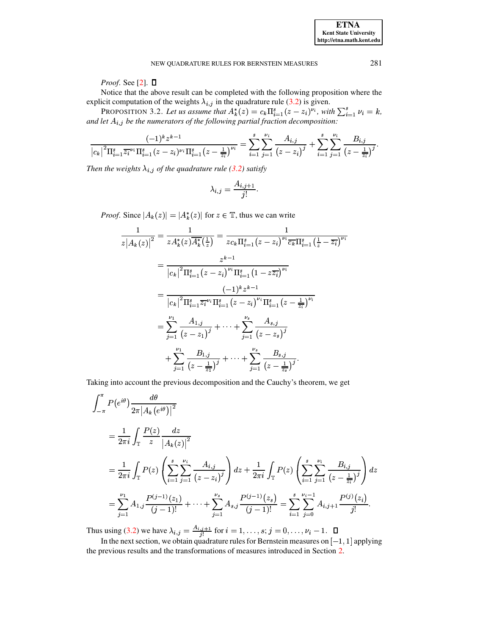*Proof.* See [2].  $\Box$ 

Notice that the above result can be completed with the following proposition where the explicit computation of the weights  $\lambda_{i,j}$  in the quadrature rule (3.2) is given.

PROPOSITION 3.2. Let us assume that  $A_k^*(z) = c_k \Pi_{i=1}^s (z - z_i)^{\nu_i}$ , with  $\sum_{i=1}^s \nu_i = k$ , and let  $A_{i,j}$  be the numerators of the following partial fraction decomposition:

$$
\frac{(-1)^k z^{k-1}}{\left|c_k\right|^2 \Pi_{i=1}^s \overline{z_i}^{\nu_i} \Pi_{i=1}^s (z-z_i)^{\nu_i} \Pi_{i=1}^s \left(z-\frac{1}{\overline{z_i}}\right)^{\nu_i}} = \sum_{i=1}^s \sum_{j=1}^{\nu_i} \frac{A_{i,j}}{\left(z-z_i\right)^j} + \sum_{i=1}^s \sum_{j=1}^{\nu_i} \frac{B_{i,j}}{\left(z-\frac{1}{\overline{z_i}}\right)^j}
$$

Then the weights  $\lambda_{i,j}$  of the quadrature rule (3.2) satisfy

$$
\lambda_{i,j} = \frac{A_{i,j+1}}{j!}.
$$

*Proof.* Since  $|A_k(z)| = |A_k^*(z)|$  for  $z \in \mathbb{T}$ , thus we can write

$$
\frac{1}{z|A_k(z)|^2} = \frac{1}{zA_k^*(z)\overline{A_k^*}(\frac{1}{z})} = \frac{1}{zc_k\overline{\Pi_{i=1}^s(z-z_i)}^{\nu_i}\overline{c_k}\overline{\Pi_{i=1}^s(\frac{1}{z}-\overline{z_i})}^{\nu_i}}
$$

$$
= \frac{z^{k-1}}{|c_k|^2\overline{\Pi_{i=1}^s(z-z_i)}^{\nu_i}\overline{\Pi_{i=1}^s(1-z\overline{z_i})}^{\nu_i}}
$$

$$
= \frac{(-1)^k z^{k-1}}{|c_k|^2\overline{\Pi_{i=1}^s\overline{z_i}^{\nu_i}\Pi_{i=1}^s(z-z_i)^{\nu_i}\overline{\Pi_{i=1}^s(z-\frac{1}{z_i})}^{\nu_i}}
$$

$$
= \sum_{j=1}^{\nu_1} \frac{A_{1,j}}{(z-z_1)^j} + \dots + \sum_{j=1}^{\nu_s} \frac{A_{s,j}}{(z-z_s)^j}
$$

$$
+ \sum_{j=1}^{\nu_1} \frac{B_{1,j}}{(z-\frac{1}{z_1})^j} + \dots + \sum_{j=1}^{\nu_s} \frac{B_{s,j}}{(z-\frac{1}{z_s})^j}.
$$

Taking into account the previous decomposition and the Cauchy's theorem, we get

$$
\int_{-\pi}^{\pi} P(e^{i\theta}) \frac{d\theta}{2\pi |A_k(e^{i\theta})|^2}
$$
\n
$$
= \frac{1}{2\pi i} \int_{\mathbb{T}} \frac{P(z)}{z} \frac{dz}{|A_k(z)|^2}
$$
\n
$$
= \frac{1}{2\pi i} \int_{\mathbb{T}} P(z) \left( \sum_{i=1}^{s} \sum_{j=1}^{\nu_i} \frac{A_{i,j}}{(z-z_i)^j} \right) dz + \frac{1}{2\pi i} \int_{\mathbb{T}} P(z) \left( \sum_{i=1}^{s} \sum_{j=1}^{\nu_i} \frac{B_{i,j}}{(z-\frac{1}{z_i})^j} \right) dz
$$
\n
$$
= \sum_{j=1}^{\nu_1} A_{1,j} \frac{P^{(j-1)}(z_1)}{(j-1)!} + \dots + \sum_{j=1}^{\nu_s} A_{s,j} \frac{P^{(j-1)}(z_s)}{(j-1)!} = \sum_{i=1}^{s} \sum_{j=0}^{\nu_i-1} A_{i,j+1} \frac{P^{(j)}(z_i)}{j!}.
$$

Thus using (3.2) we have  $\lambda_{i,j} = \frac{A_{i,j+1}}{j!}$  for  $i = 1, ..., s; j = 0, ..., \nu_i - 1$ .  $\Box$ <br>In the next section, we obtain quadrature rules for Bernstein measures on [-1, 1] applying the previous results and the transformations of measures introduced in Section 2.

281

**ETNA Kent State University** http://etna.math.kent.edu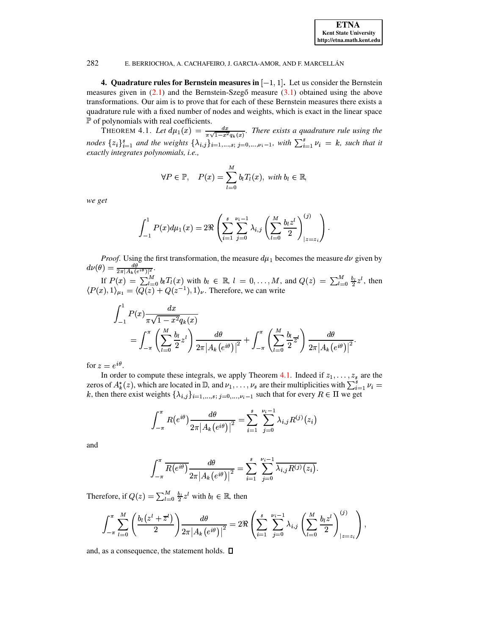<span id="page-4-0"></span>4. Quadrature rules for Bernstein measures in  $[-1, 1]$ . Let us consider the Bernstein measures given in  $(2.1)$  and the Bernstein-Szegő measure  $(3.1)$  obtained using the above transformations. Our aim is to prove that for each of these Bernstein measures there exists a quadrature rule with a fixed number of nodes and weights, which is exact in the linear space  $\mathbb P$  of polynomials with real coefficients.

<span id="page-4-1"></span>THEOREM 4.1. Let  $d\mu_1(x) = \frac{dx}{\pi\sqrt{1-x^2}q_k(x)}$ . There exists a quadrature rule using the nodes  $\{z_i\}_{i=1}^s$  and the weights  $\{\lambda_{i,j}\}_{i=1,...,s; j=0,..., \nu_i-1}$ , with  $\sum_{i=1}^s \nu_i = k$ , such that it exactly integrates polynomials, i.e.,

$$
\forall P \in \mathbb{P}, \quad P(x) = \sum_{l=0}^{M} b_l T_l(x), \text{ with } b_l \in \mathbb{R},
$$

we get

$$
\int_{-1}^1 P(x) d\mu_1(x) = 2 \Re \left( \sum_{i=1}^s \sum_{j=0}^{\nu_i - 1} \lambda_{i,j} \left( \sum_{l=0}^M \frac{b_l z^l}{2} \right)_{|z=z_i}^{(j)} \right).
$$

*Proof.* Using the first transformation, the measure  $d\mu_1$  becomes the measure  $d\nu$  given by

 $d\nu(\theta) = \frac{d\theta}{2\pi |A_k(e^{i\theta})|^2}$ .<br>
If  $P(x) = \sum_{l=0}^{M} b_l T_l(x)$  with  $b_l \in \mathbb{R}$ ,  $l = 0, ..., M$ , and  $Q(z) = \sum_{l=0}^{M} \frac{b_l}{2} z^l$ , then<br>  $\langle P(x), 1 \rangle_{\mu_1} = \langle Q(z) + Q(z^{-1}), 1 \rangle_{\nu}$ . Therefore, we can write

$$
\int_{-1}^{1} P(x) \frac{dx}{\pi \sqrt{1 - x^2} q_k(x)}
$$
  
= 
$$
\int_{-\pi}^{\pi} \left( \sum_{l=0}^{M} \frac{b_l}{2} z^l \right) \frac{d\theta}{2\pi |A_k(e^{i\theta})|^2} + \int_{-\pi}^{\pi} \left( \sum_{l=0}^{M} \frac{b_l}{2} z^l \right) \frac{d\theta}{2\pi |A_k(e^{i\theta})|^2}.
$$

for  $z = e^{i\theta}$ .

In order to compute these integrals, we apply Theorem 4.1. Indeed if  $z_1, \ldots, z_s$  are the zeros of  $A_k^*(z)$ , which are located in  $\mathbb{D}$ , and  $\nu_1, \ldots, \nu_s$  are their multiplicities with  $\sum_{i=1}^s \nu_i =$ k, then there exist weights  $\{\lambda_{i,j}\}_{i=1,...,s; j=0,...,v_i-1}$  such that for every  $R \in \Pi$  we get

$$
\int_{-\pi}^{\pi} R(e^{i\theta}) \frac{d\theta}{2\pi |A_k(e^{i\theta})|^2} = \sum_{i=1}^{s} \sum_{j=0}^{\nu_i - 1} \lambda_{i,j} R^{(j)}(z_i)
$$

and

$$
\int_{-\pi}^{\pi} \overline{R(e^{i\theta})} \frac{d\theta}{2\pi |A_k(e^{i\theta})|^2} = \sum_{i=1}^{s} \sum_{j=0}^{\nu_i-1} \overline{\lambda_{i,j} R^{(j)}(z_i)}.
$$

Therefore, if  $Q(z) = \sum_{l=0}^{M} \frac{b_l}{2} z^l$  with  $b_l \in \mathbb{R}$ , then

$$
\int_{-\pi}^{\pi} \sum_{l=0}^{M} \left( \frac{b_l (z^l + \overline{z}^l)}{2} \right) \frac{d\theta}{2\pi |A_k(e^{i\theta})|^2} = 2 \Re \left( \sum_{i=1}^{s} \sum_{j=0}^{\nu_i - 1} \lambda_{i,j} \left( \sum_{l=0}^{M} \frac{b_l z^l}{2} \right)_{|z=z_i}^{(j)} \right),
$$

and, as a consequence, the statement holds.  $\square$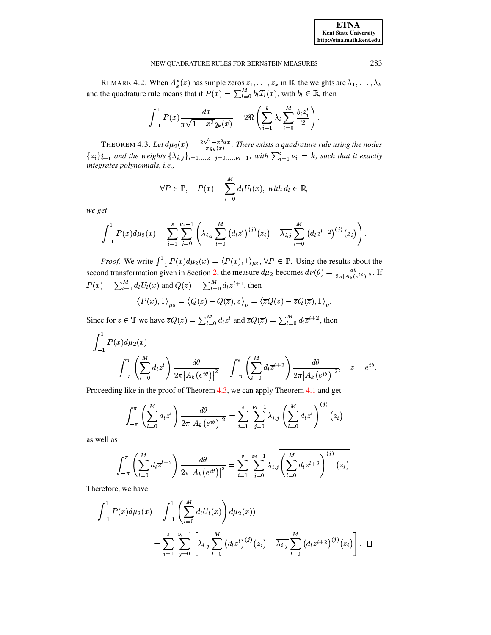REMARK 4.2. When  $A_k^*(z)$  has simple zeros  $z_1, \ldots, z_k$  in  $\mathbb{D}$ , the weights are  $\lambda_1, \ldots, \lambda_k$ and the quadrature rule means that if  $P(x) = \sum_{l=0}^{M} b_l T_l(x)$ , with  $b_l \in \mathbb{R}$ , then

$$
\int_{-1}^{1} P(x) \frac{dx}{\pi \sqrt{1 - x^2} q_k(x)} = 2 \Re \left( \sum_{i=1}^{k} \lambda_i \sum_{l=0}^{M} \frac{b_l z_i^l}{2} \right).
$$

<span id="page-5-0"></span>THEOREM 4.3. Let  $d\mu_2(x) = \frac{2\sqrt{1-x^2}dx}{\pi q_k(x)}$ . There exists a quadrature rule using the nodes  $\{z_i\}_{i=1}^s$  and the weights  $\{\lambda_{i,j}\}_{i=1,\dots,s; j=0,\dots,\nu_i-1}$ , with  $\sum_{i=1}^s \nu_i = k$ , such that it exactly integrates polynomials, i.e.,

$$
\forall P \in \mathbb{P}, \quad P(x) = \sum_{l=0}^{M} d_l U_l(x), \text{ with } d_l \in \mathbb{R},
$$

we get

$$
\int_{-1}^1 P(x) d\mu_2(x) = \sum_{i=1}^s \sum_{j=0}^{\nu_i-1} \left( \lambda_{i,j} \sum_{l=0}^M (d_l z^l)^{(j)}(z_i) - \overline{\lambda_{i,j}} \sum_{l=0}^M (d_l z^{l+2})^{(j)}(z_i) \right).
$$

*Proof.* We write  $\int_{-1}^{1} P(x) d\mu_2(x) = \langle P(x), 1 \rangle_{\mu_2}, \forall P \in \mathbb{P}$ . Using the results about the second transformation given in Section 2, the measure  $d\mu_2$  becomes  $d\nu(\theta) = \frac{d\theta}{2\pi |A_k(e^{i\theta})|^2}$ . If  $P(x) = \sum_{l=0}^{M} d_l U_l(x)$  and  $Q(z) = \sum_{l=0}^{M} d_l z^{l+1}$ , then

$$
\left\langle P(x),1\right\rangle_{\mu_2} = \left\langle Q(z) - Q(\overline{z}),z\right\rangle_{\nu} = \left\langle \overline{z}Q(z) - \overline{z}Q(\overline{z}),1\right\rangle_{\nu}.
$$

Since for  $z \in \mathbb{T}$  we have  $\overline{z}Q(z) = \sum_{l=0}^{M} d_l z^l$  and  $\overline{z}Q(\overline{z}) = \sum_{l=0}^{M} d_l \overline{z}^{l+2}$ , then

$$
\int_{-1}^{1} P(x) d\mu_2(x)
$$
  
= 
$$
\int_{-\pi}^{\pi} \left( \sum_{l=0}^{M} d_l z^l \right) \frac{d\theta}{2\pi |A_k(e^{i\theta})|^2} - \int_{-\pi}^{\pi} \left( \sum_{l=0}^{M} d_l \overline{z}^{l+2} \right) \frac{d\theta}{2\pi |A_k(e^{i\theta})|^2}, \quad z = e^{i\theta}.
$$

Proceeding like in the proof of Theorem 4.3, we can apply Theorem 4.1 and get

$$
\int_{-\pi}^{\pi} \left( \sum_{l=0}^{M} d_{l} z^{l} \right) \frac{d\theta}{2\pi |A_{k}(e^{i\theta})|^{2}} = \sum_{i=1}^{s} \sum_{j=0}^{\nu_{i}-1} \lambda_{i,j} \left( \sum_{l=0}^{M} d_{l} z^{l} \right)^{(j)} (z_{i})
$$

as well as

$$
\int_{-\pi}^{\pi} \left( \sum_{l=0}^{M} \overline{d_{l}} \overline{z}^{l+2} \right) \frac{d\theta}{2\pi |A_{k}(e^{i\theta})|^{2}} = \sum_{i=1}^{s} \sum_{j=0}^{\nu_{i}-1} \overline{\lambda_{i,j}} \left( \sum_{l=0}^{M} d_{l} z^{l+2} \right)^{(j)}(z_{i}).
$$

Therefore, we have

$$
\int_{-1}^{1} P(x) d\mu_2(x) = \int_{-1}^{1} \left( \sum_{l=0}^{M} d_l U_l(x) \right) d\mu_2(x)
$$
  
= 
$$
\sum_{i=1}^{s} \sum_{j=0}^{\nu_i - 1} \left[ \lambda_{i,j} \sum_{l=0}^{M} (d_l z^l)^{(j)}(z_i) - \overline{\lambda_{i,j}} \sum_{l=0}^{M} \overline{(d_l z^{l+2})^{(j)}(z_i)} \right]. \quad \Box
$$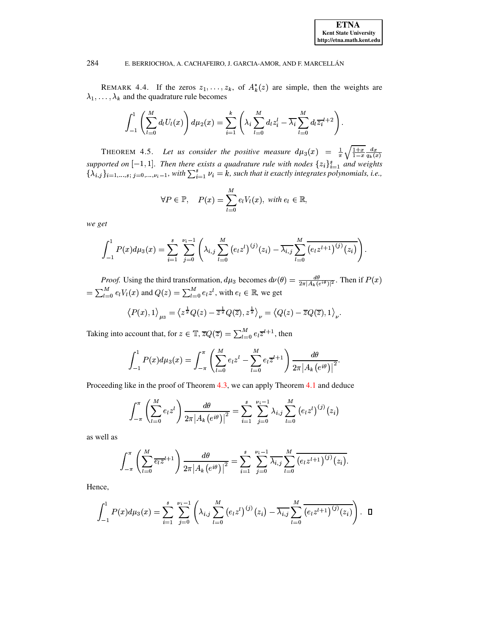REMARK 4.4. If the zeros  $z_1, \ldots, z_k$ , of  $A_k^*(z)$  are simple, then the weights are  $\lambda_1, \ldots, \lambda_k$  and the quadrature rule becomes

$$
\int_{-1}^1 \left( \sum_{l=0}^M d_l U_l(x) \right) d\mu_2(x) = \sum_{i=1}^k \left( \lambda_i \sum_{l=0}^M d_l z_i^l - \overline{\lambda_i} \sum_{l=0}^M d_l \overline{z_i}^{l+2} \right).
$$

THEOREM 4.5. Let us consider the positive measure  $d\mu_3(x) = \frac{1}{\pi} \sqrt{\frac{1+x}{1-x}} \frac{dx}{q_k(x)}$ supported on [-1, 1]. Then there exists a quadrature rule with nodes  $\{z_i\}_{i=1}^s$  and weights  $\{\lambda_{i,j}\}_{i=1,\ldots,s; j=0,\ldots,\nu_i-1}$ , with  $\sum_{i=1}^s \nu_i = k$ , such that it exactly integrates polynomials, i.e.,

$$
\forall P \in \mathbb{P}, \quad P(x) = \sum_{l=0}^{M} e_l V_l(x), \text{ with } e_l \in \mathbb{R},
$$

we get

$$
\int_{-1}^1 P(x) d\mu_3(x) = \sum_{i=1}^s \sum_{j=0}^{\nu_i-1} \left( \lambda_{i,j} \sum_{l=0}^M (e_l z^l)^{(j)}(z_i) - \overline{\lambda_{i,j}} \sum_{l=0}^M \overline{(e_l z^{l+1})^{(j)}(z_i)} \right).
$$

*Proof.* Using the third transformation,  $d\mu_3$  becomes  $d\nu(\theta) = \frac{d\theta}{2\pi |A_k(e^{i\theta})|^2}$ . Then if  $P(x)$ =  $\sum_{l=0}^{M} e_l V_l(x)$  and  $Q(z) = \sum_{l=0}^{M} e_l z^l$ , with  $e_l \in \mathbb{R}$ , we get

$$
\left\langle P(x),1\right\rangle_{\mu_3} = \left\langle z^{\frac{1}{2}}Q(z) - \overline{z}^{\frac{1}{2}}Q(\overline{z}), z^{\frac{1}{2}} \right\rangle_{\nu} = \left\langle Q(z) - \overline{z}Q(\overline{z}), 1 \right\rangle_{\nu}.
$$

Taking into account that, for  $z \in \mathbb{T}$ ,  $\overline{z}Q(\overline{z}) = \sum_{l=0}^{M} e_l \overline{z}^{l+1}$ , then

$$
\int_{-1}^{1} P(x) d\mu_3(x) = \int_{-\pi}^{\pi} \left( \sum_{l=0}^{M} e_l z^l - \sum_{l=0}^{M} e_l \overline{z}^{l+1} \right) \frac{d\theta}{2\pi |A_k(e^{i\theta})|^2}.
$$

Proceeding like in the proof of Theorem 4.3, we can apply Theorem 4.1 and deduce

$$
\int_{-\pi}^{\pi} \left( \sum_{l=0}^{M} e_{l} z^{l} \right) \frac{d\theta}{2\pi |A_{k}(e^{i\theta})|^{2}} = \sum_{i=1}^{s} \sum_{j=0}^{\nu_{i}-1} \lambda_{i,j} \sum_{l=0}^{M} (e_{l} z^{l})^{(j)}(z_{i})
$$

as well as

$$
\int_{-\pi}^{\pi} \left( \sum_{l=0}^{M} \overline{e_l z^{l+1}} \right) \frac{d\theta}{2\pi |A_k(e^{i\theta})|^2} = \sum_{i=1}^{s} \sum_{j=0}^{\nu_i - 1} \overline{\lambda_{i,j}} \sum_{l=0}^{M} \overline{(e_l z^{l+1})^{(j)}(z_i)}
$$

Hence,

$$
\int_{-1}^{1} P(x) d\mu_3(x) = \sum_{i=1}^{s} \sum_{j=0}^{\nu_i-1} \left( \lambda_{i,j} \sum_{l=0}^{M} \left( e_l z^l \right)^{(j)}(z_i) - \overline{\lambda_{i,j}} \sum_{l=0}^{M} \overline{\left( e_l z^{l+1} \right)^{(j)}(z_i)} \right) . \quad \Box
$$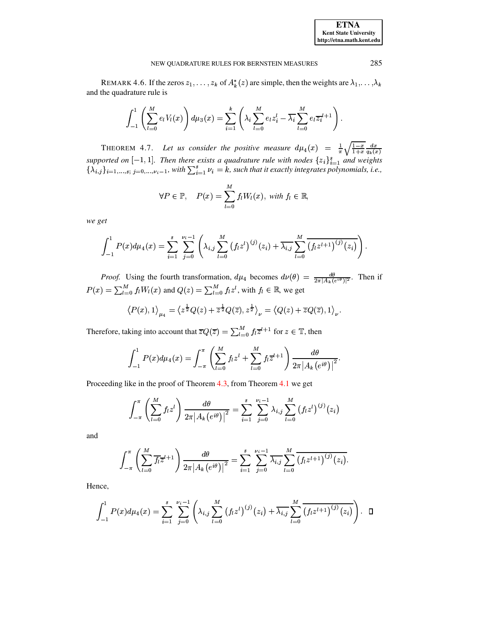REMARK 4.6. If the zeros  $z_1, \ldots, z_k$  of  $A_k^*(z)$  are simple, then the weights are  $\lambda_1, \ldots, \lambda_k$ and the quadrature rule is

$$
\int_{-1}^{1} \left( \sum_{l=0}^{M} e_{l} V_{l}(x) \right) d\mu_{3}(x) = \sum_{i=1}^{k} \left( \lambda_{i} \sum_{l=0}^{M} e_{l} z_{i}^{l} - \overline{\lambda_{i}} \sum_{l=0}^{M} e_{l} \overline{z_{i}}^{l+1} \right).
$$

THEOREM 4.7. Let us consider the positive measure  $d\mu_4(x) = \frac{1}{\pi} \sqrt{\frac{1-x}{1+x}} \frac{dx}{q_k(x)}$ supported on  $[-1, 1]$ . Then there exists a quadrature rule with nodes  $\{z_i\}_{i=1}^s$  and weights  $\{\lambda_{i,j}\}_{i=1,\ldots,s}$ ,  $j=0,\ldots,\nu_i-1$ , with  $\sum_{i=1}^s \nu_i = k$ , such that it exactly integrates polynomials, i.e.,

$$
\forall P \in \mathbb{P}, \quad P(x) = \sum_{l=0}^{M} f_l W_l(x), \text{ with } f_l \in \mathbb{R},
$$

we get

$$
\int_{-1}^1 P(x) d\mu_4(x) = \sum_{i=1}^s \sum_{j=0}^{\nu_i-1} \left( \lambda_{i,j} \sum_{l=0}^M (f_l z^l)^{(j)}(z_i) + \overline{\lambda_{i,j}} \sum_{l=0}^M (f_l z^{l+1})^{(j)}(z_i) \right).
$$

*Proof.* Using the fourth transformation,  $d\mu_4$  becomes  $d\nu(\theta) = \frac{d\theta}{2\pi |A_k(e^{i\theta})|^2}$ . Then if  $P(x) = \sum_{l=0}^{M} f_l W_l(x)$  and  $Q(z) = \sum_{l=0}^{M} f_l z^l$ , with  $f_l \in \mathbb{R}$ , we get

$$
\left\langle P(x),1\right\rangle_{\mu_4} = \left\langle z^{\frac{1}{2}}Q(z) + \overline{z}^{\frac{1}{2}}Q(\overline{z}), z^{\frac{1}{2}}\right\rangle_{\nu} = \left\langle Q(z) + \overline{z}Q(\overline{z}), 1\right\rangle_{\nu}.
$$

Therefore, taking into account that  $\overline{z}Q(\overline{z}) = \sum_{l=0}^{M} f_l \overline{z}^{l+1}$  for  $z \in \mathbb{T}$ , then

$$
\int_{-1}^{1} P(x) d\mu_4(x) = \int_{-\pi}^{\pi} \left( \sum_{l=0}^{M} f_l z^l + \sum_{l=0}^{M} f_l \overline{z}^{l+1} \right) \frac{d\theta}{2\pi |A_k(e^{i\theta})|^2}.
$$

Proceeding like in the proof of Theorem 4.3, from Theorem 4.1 we get

$$
\int_{-\pi}^{\pi} \left( \sum_{l=0}^{M} f_l z^l \right) \frac{d\theta}{2\pi |A_k(e^{i\theta})|^2} = \sum_{i=1}^{s} \sum_{j=0}^{\nu_i - 1} \lambda_{i,j} \sum_{l=0}^{M} (f_l z^l)^{(j)}(z_i)
$$

and

$$
\int_{-\pi}^{\pi} \left( \sum_{l=0}^{M} \overline{f_{l}} \overline{z}^{l+1} \right) \frac{d\theta}{2\pi |A_{k}(e^{i\theta})|^{2}} = \sum_{i=1}^{s} \sum_{j=0}^{\nu_{i}-1} \overline{\lambda_{i,j}} \sum_{l=0}^{M} \overline{\left(f_{l} z^{l+1}\right)^{(j)}(z_{i})}.
$$

Hence,

$$
\int_{-1}^{1} P(x) d\mu_4(x) = \sum_{i=1}^{s} \sum_{j=0}^{\nu_i-1} \left( \lambda_{i,j} \sum_{l=0}^{M} (f_l z^l)^{(j)}(z_i) + \overline{\lambda_{i,j}} \sum_{l=0}^{M} \overline{(f_l z^{l+1})^{(j)}(z_i)} \right). \quad \Box
$$

285

**ETNA Kent State University** http://etna.math.kent.edu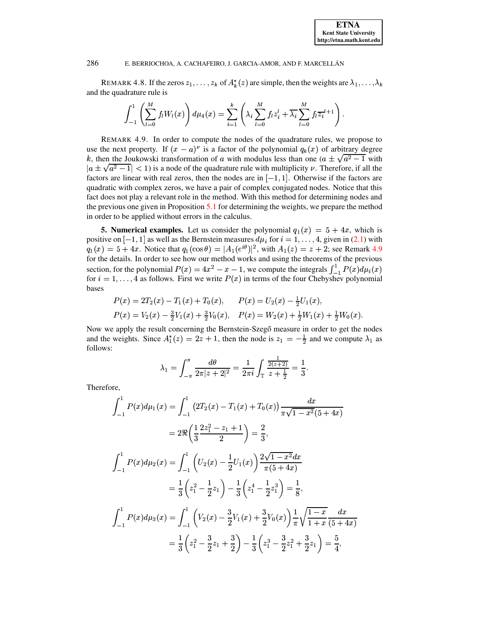REMARK 4.8. If the zeros  $z_1, \ldots, z_k$  of  $A_k^*(z)$  are simple, then the weights are  $\lambda_1, \ldots, \lambda_k$ and the quadrature rule is

$$
\int_{-1}^{1} \left( \sum_{l=0}^{M} f_l W_l(x) \right) d\mu_4(x) = \sum_{i=1}^{k} \left( \lambda_i \sum_{l=0}^{M} f_l z_i^l + \overline{\lambda_i} \sum_{l=0}^{M} f_l \overline{z_i}^{l+1} \right).
$$

<span id="page-8-1"></span>REMARK 4.9. In order to compute the nodes of the quadrature rules, we propose to use the next property. If  $(x - a)^{\nu}$  is a factor of the polynomial  $q_k(x)$  of arbitrary degree k, then the Joukowski transformation of a with modulus less than one  $(a \pm \sqrt{a^2 - 1}$  with  $|a \pm \sqrt{a^2 - 1}|$  < 1) is a node of the quadrature rule with multiplicity v. Therefore, if all the factors are linear with real zeros, then the nodes are in  $[-1, 1]$ . Otherwise if the factors are quadratic with complex zeros, we have a pair of complex conjugated nodes. Notice that this fact does not play a relevant role in the method. With this method for determining nodes and the previous one given in Proposition  $5.1$  for determining the weights, we prepare the method in order to be applied without errors in the calculus.

<span id="page-8-0"></span>**5. Numerical examples.** Let us consider the polynomial  $q_1(x) = 5 + 4x$ , which is positive on  $[-1, 1]$  as well as the Bernstein measures  $d\mu_i$  for  $i = 1, ..., 4$ , given in (2.1) with  $q_1(x) = 5 + 4x$ . Notice that  $q_1(\cos \theta) = |A_1(e^{i\theta})|^2$ , with  $A_1(z) = z + 2$ ; see Remark 4.9 for the details. In order to see how our method works and using the theorems of the previous section, for the polynomial  $P(x) = 4x^2 - x - 1$ , we compute the integrals  $\int_{-1}^{1} P(x) d\mu_i(x)$  for  $i = 1, ..., 4$  as follows. First we write  $P(x)$  in terms of the four Chebyshev polynomial bases

$$
P(x) = 2T_2(x) - T_1(x) + T_0(x), \qquad P(x) = U_2(x) - \frac{1}{2}U_1(x),
$$
  
\n
$$
P(x) = V_2(x) - \frac{3}{2}V_1(x) + \frac{3}{2}V_0(x), \quad P(x) = W_2(x) + \frac{1}{2}W_1(x) + \frac{1}{2}W_0(x)
$$

Now we apply the result concerning the Bernstein-Szegő measure in order to get the nodes and the weights. Since  $A_1^*(z) = 2z + 1$ , then the node is  $z_1 = -\frac{1}{2}$  and we compute  $\lambda_1$  as follows:

$$
\lambda_1 = \int_{-\pi}^{\pi} \frac{d\theta}{2\pi |z + 2|^2} = \frac{1}{2\pi i} \int_{\mathbb{T}} \frac{\frac{1}{2(z + 2)}}{z + \frac{1}{2}} = \frac{1}{3}.
$$

Therefore,

$$
\int_{-1}^{1} P(x) d\mu_1(x) = \int_{-1}^{1} (2T_2(x) - T_1(x) + T_0(x)) \frac{dx}{\pi \sqrt{1 - x^2}(5 + 4x)}
$$
  
\n
$$
= 2\Re \left(\frac{1}{3} \frac{2z_1^2 - z_1 + 1}{2}\right) = \frac{2}{3},
$$
  
\n
$$
\int_{-1}^{1} P(x) d\mu_2(x) = \int_{-1}^{1} \left( U_2(x) - \frac{1}{2} U_1(x) \right) \frac{2\sqrt{1 - x^2} dx}{\pi (5 + 4x)}
$$
  
\n
$$
= \frac{1}{3} \left( z_1^2 - \frac{1}{2} z_1 \right) - \frac{1}{3} \left( z_1^4 - \frac{1}{2} z_1^3 \right) = \frac{1}{8},
$$
  
\n
$$
\int_{-1}^{1} P(x) d\mu_3(x) = \int_{-1}^{1} \left( V_2(x) - \frac{3}{2} V_1(x) + \frac{3}{2} V_0(x) \right) \frac{1}{\pi} \sqrt{\frac{1 - x}{1 + x}} \frac{dx}{(5 + 4x)}
$$
  
\n
$$
= \frac{1}{3} \left( z_1^2 - \frac{3}{2} z_1 + \frac{3}{2} \right) - \frac{1}{3} \left( z_1^3 - \frac{3}{2} z_1^2 + \frac{3}{2} z_1 \right) = \frac{5}{4},
$$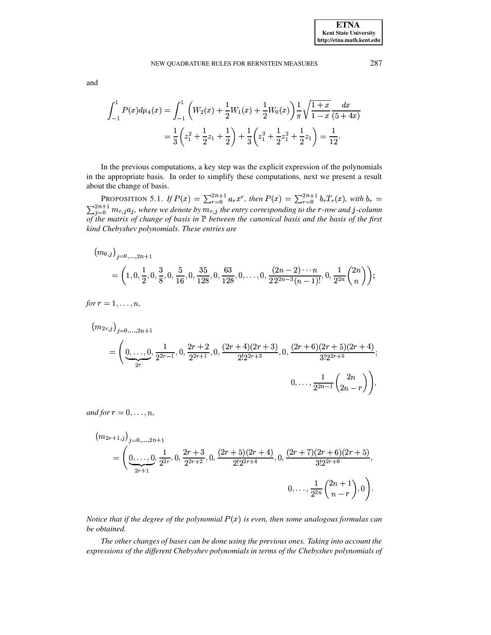## NEW OUADRATURE RULES FOR BERNSTEIN MEASURES

and

$$
\int_{-1}^{1} P(x) d\mu_4(x) = \int_{-1}^{1} \left( W_2(x) + \frac{1}{2} W_1(x) + \frac{1}{2} W_0(x) \right) \frac{1}{\pi} \sqrt{\frac{1+x}{1-x}} \frac{dx}{(5+4x)}
$$

$$
= \frac{1}{3} \left( z_1^2 + \frac{1}{2} z_1 + \frac{1}{2} \right) + \frac{1}{3} \left( z_1^3 + \frac{1}{2} z_1^2 + \frac{1}{2} z_1 \right) = \frac{1}{12}.
$$

In the previous computations, a key step was the explicit expression of the polynomials in the appropriate basis. In order to simplify these computations, next we present a result about the change of basis.

<span id="page-9-0"></span>PROPOSITION 5.1. If  $P(x) = \sum_{r=0}^{2n+1} a_r x^r$ , then  $P(x) = \sum_{r=0}^{2n+1} b_r T_r(x)$ , with  $b_r = \sum_{r=0}^{2n+1} m_{r,j} a_j$ , where we denote by  $m_{r,j}$  the entry corresponding to the r-row and j-column of the matrix of change of basis in  $\mathbb P$  between the canonical basis and the basis of the first kind Chebyshev polynomials. These entries are

$$
(m_{0,j})_{j=0,...,2n+1} = \left(1, 0, \frac{1}{2}, 0, \frac{3}{8}, 0, \frac{5}{16}, 0, \frac{35}{128}, 0, \frac{63}{128}, 0, \dots, 0, \frac{(2n-2)\cdots n}{22^{2n-3}(n-1)!}, 0, \frac{1}{2^{2n}}\binom{2n}{n}\right);
$$

for  $r = 1, \ldots, n$ ,

$$
(m_{2r,j})_{j=0,\ldots,2n+1}
$$
\n
$$
= \left(\underbrace{0,\ldots,0}_{2r},\frac{1}{2^{2r-1}},0,\frac{2r+2}{2^{2r+1}},0,\frac{(2r+4)(2r+3)}{2!2^{2r+3}},0,\frac{(2r+6)(2r+5)(2r+4)}{3!2^{2r+5}};\right)
$$
\n
$$
0,\ldots,\frac{1}{2^{2n-1}}\binom{2n}{2n-r}\right),
$$

and for  $r = 0, \ldots, n$ ,

$$
(m_{2r+1,j})_{j=0,\ldots,2n+1}
$$
  
=  $\left(\underbrace{0,\ldots,0}_{2r+1},\frac{1}{2^{2r}},0,\frac{2r+3}{2^{2r+2}},0,\frac{(2r+5)(2r+4)}{2!2^{2r+4}},0,\frac{(2r+7)(2r+6)(2r+5)}{3!2^{2r+6}},\right)$   
 $0,\ldots,\frac{1}{2^{2n}}\binom{2n+1}{n-r},0\right).$ 

Notice that if the degree of the polynomial  $P(x)$  is even, then some analogous formulas can be obtained.

The other changes of bases can be done using the previous ones. Taking into account the expressions of the different Chebyshev polynomials in terms of the Chebyshev polynomials of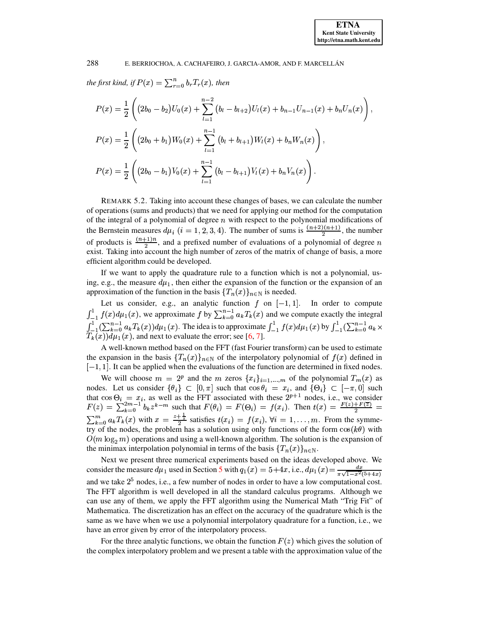the first kind, if  $P(x) = \sum_{r=0}^{n} b_r T_r(x)$ , then

$$
P(x) = \frac{1}{2} \left( \left( 2b_0 - b_2 \right) U_0(x) + \sum_{l=1}^{n-2} \left( b_l - b_{l+2} \right) U_l(x) + b_{n-1} U_{n-1}(x) + b_n U_n(x) \right),
$$
  
\n
$$
P(x) = \frac{1}{2} \left( \left( 2b_0 + b_1 \right) W_0(x) + \sum_{l=1}^{n-1} \left( b_l + b_{l+1} \right) W_l(x) + b_n W_n(x) \right),
$$
  
\n
$$
P(x) = \frac{1}{2} \left( \left( 2b_0 - b_1 \right) V_0(x) + \sum_{l=1}^{n-1} \left( b_l - b_{l+1} \right) V_l(x) + b_n V_n(x) \right).
$$

REMARK 5.2. Taking into account these changes of bases, we can calculate the number of operations (sums and products) that we need for applying our method for the computation of the integral of a polynomial of degree  $n$  with respect to the polynomial modifications of the Bernstein measures  $d\mu_i$  ( $i = 1, 2, 3, 4$ ). The number of sums is  $\frac{(n+2)(n+1)}{2}$ , the number of products is  $\frac{(n+1)n}{2}$ , and a prefixed number of evaluations of a polynomial of degree n exist. Taking into account the high number of zeros of the matrix of change of basis, a more efficient algorithm could be developed.

If we want to apply the quadrature rule to a function which is not a polynomial, using, e.g., the measure  $d\mu_1$ , then either the expansion of the function or the expansion of an approximation of the function in the basis  $\{T_n(x)\}_{n\in\mathbb{N}}$  is needed.

Let us consider, e.g., an analytic function  $f$  on  $[-1, 1]$ . In order to compute  $\int_{-1}^{1} f(x) d\mu_1(x)$ , we approximate  $f$  by  $\sum_{k=0}^{n-1} a_k T_k(x)$  and we compute exactly the integral  $\int_{-1}^{1} (\sum_{k=0}^{n-1} a_k T_k(x)) d\mu_1(x)$ . The idea is to approximate  $\int_{-1}^{1} f(x) d\mu_1(x)$  by  $\int_{-1}^{1} (\sum_{k=0}^{n-1} a_k \times T_k(x$ 

A well-known method based on the FFT (fast Fourier transform) can be used to estimate the expansion in the basis  $\{T_n(x)\}_{n\in\mathbb{N}}$  of the interpolatory polynomial of  $f(x)$  defined in  $[-1, 1]$ . It can be applied when the evaluations of the function are determined in fixed nodes.

We will choose  $m = 2^p$  and the m zeros  $\{x_i\}_{i=1,\dots,m}$  of the polynomial  $T_m(x)$  as nodes. Let us consider  $\{\theta_i\} \subset [0, \pi]$  such that  $\cos \theta_i = x_i$ , and  $\{\Theta_i\} \subset [-\pi, 0]$  such that  $\cos \Theta_i = x_i$ , as well as the FFT associated with these  $2^{p+1}$  nodes, i.e., we consider  $F(z) = \sum_{k=0}^{2m-1} b_k z^{k-m}$  such that  $F(\theta_i) = F(\Theta_i) = f(x_i)$ . Then  $t(x) = \frac{F(z) + F(\overline{z})}{2} =$  $\sum_{k=0}^{m} a_k T_k(x)$  with  $x = \frac{z+\frac{1}{2}}{2}$  satisfies  $t(x_i) = f(x_i)$ ,  $\forall i = 1, ..., m$ . From the symmetry of the nodes, the problem has a solution using only functions of the form  $cos(k\theta)$  with  $O(m \log_2 m)$  operations and using a well-known algorithm. The solution is the expansion of the minimax interpolation polynomial in terms of the basis  ${T_n(x)}_{n\in\mathbb{N}}$ .

Next we present three numerical experiments based on the ideas developed above. We consider the measure  $d\mu_1$  used in Section 5 with  $q_1(x) = 5 + 4x$ , i.e.,  $d\mu_1(x) = \frac{dx}{\pi\sqrt{1-x^2(5+4x)}}$ and we take  $2<sup>5</sup>$  nodes, i.e., a few number of nodes in order to have a low computational cost. The FFT algorithm is well developed in all the standard calculus programs. Although we can use any of them, we apply the FFT algorithm using the Numerical Math "Trig Fit" of Mathematica. The discretization has an effect on the accuracy of the quadrature which is the same as we have when we use a polynomial interpolatory quadrature for a function, i.e., we have an error given by error of the interpolatory process.

For the three analytic functions, we obtain the function  $F(z)$  which gives the solution of the complex interpolatory problem and we present a table with the approximation value of the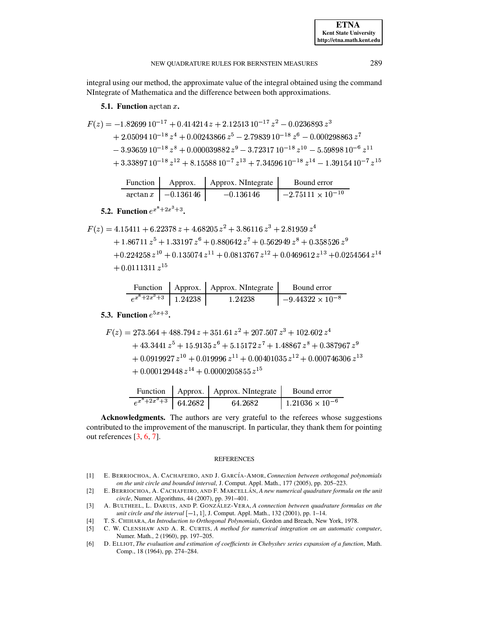NEW OUADRATURE RULES FOR BERNSTEIN MEASURES

integral using our method, the approximate value of the integral obtained using the command NIntegrate of Mathematica and the difference between both approximations.

# 5.1. Function  $arctan x$ .

$$
F(z) = -1.82699 10^{-17} + 0.414214 z + 2.12513 10^{-17} z^2 - 0.0236893 z^3
$$
  
+ 2.05094 10<sup>-18</sup> z<sup>4</sup> + 0.00243866 z<sup>5</sup> - 2.79839 10<sup>-18</sup> z<sup>6</sup> - 0.000298863 z<sup>7</sup>  
- 3.93659 10<sup>-18</sup> z<sup>8</sup> + 0.000039882 z<sup>9</sup> - 3.72317 10<sup>-18</sup> z<sup>10</sup> - 5.59898 10<sup>-6</sup> z<sup>11</sup>  
+ 3.33897 10<sup>-18</sup> z<sup>12</sup> + 8.15588 10<sup>-7</sup> z<sup>13</sup> + 7.34596 10<sup>-18</sup> z<sup>14</sup> - 1.39154 10<sup>-7</sup> z<sup>15</sup>

| Function 1 | Approx.                       | Approx. NIntegrate | Bound error                   |
|------------|-------------------------------|--------------------|-------------------------------|
|            | $\arctan x \,   \, -0.136146$ | $-0.136146$        | $1 - 2.75111 \times 10^{-10}$ |

# **5.2.** Function  $e^{x^8+2x^3+3}$ .

$$
F(z) = 4.15411 + 6.22378 z + 4.68205 z2 + 3.86116 z3 + 2.81959 z4+ 1.86711 z5 + 1.33197 z6 + 0.880642 z7 + 0.562949 z8 + 0.358526 z9+ 0.224258 z10 + 0.135074 z11 + 0.0813767 z12 + 0.0469612 z13 + 0.0254564 z14+ 0.0111311 z15
$$

|                          | Function   Approx.   Approx. NIntegrate | Bound error               |
|--------------------------|-----------------------------------------|---------------------------|
| $e^{x^8+2x^3+3}$ 1.24238 | 1.24238                                 | $-9.44322 \times 10^{-8}$ |

# 5.3. Function  $e^{5x+3}$ .

$$
F(z) = 273.564 + 488.794 z + 351.61 z2 + 207.507 z3 + 102.602 z4+ 43.3441 z5 + 15.9135 z6 + 5.15172 z7 + 1.48867 z8 + 0.387967 z9+ 0.0919927 z10 + 0.019996 z11 + 0.00401035 z12 + 0.000746306 z13+ 0.000129448 z14 + 0.0000205855 z15
$$

|                                                              | Function   Approx.   Approx. NIntegrate | Bound error              |
|--------------------------------------------------------------|-----------------------------------------|--------------------------|
| $e^{\overline{x^8+2x^3+3}}$ 64.2682 $\overline{\phantom{1}}$ | 64.2682                                 | $1.21036 \times 10^{-6}$ |

Acknowledgments. The authors are very grateful to the referees whose suggestions contributed to the improvement of the manuscript. In particular, they thank them for pointing out references  $[3, 6, 7]$ .

### **REFERENCES**

- <span id="page-11-1"></span>[1] E. BERRIOCHOA, A. CACHAFEIRO, AND J. GARCÍA-AMOR, Connection between orthogonal polynomials on the unit circle and bounded interval, J. Comput. Appl. Math., 177 (2005), pp. 205-223.
- <span id="page-11-0"></span>[2] E. BERRIOCHOA, A. CACHAFEIRO, AND F. MARCELLÁN, A new numerical quadrature formula on the unit circle, Numer. Algorithms, 44 (2007), pp. 391-401.
- <span id="page-11-2"></span>A. BULTHEEL, L. DARUIS, AND P. GONZÁLEZ-VERA, A connection between quadrature formulas on the  $[3]$ unit circle and the interval  $[-1, 1]$ , J. Comput. Appl. Math., 132 (2001), pp. 1-14.
- T. S. CHIHARA, An Introduction to Orthogonal Polynomials, Gordon and Breach, New York, 1978.  $[4]$
- <span id="page-11-3"></span>C. W. CLENSHAW AND A. R. CURTIS, A method for numerical integration on an automatic computer,  $[5]$ Numer. Math., 2 (1960), pp. 197-205.
- <span id="page-11-4"></span>D. ELLIOT, The evaluation and estimation of coefficients in Chebyshev series expansion of a function, Math.  $[6]$ Comp., 18 (1964), pp. 274-284.

289

**ETNA Kent State University** http://etna.math.kent.edu